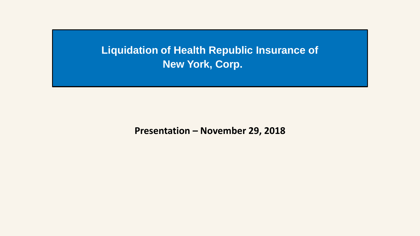**Liquidation of Health Republic Insurance of New York, Corp.**

**Presentation – November 29, 2018**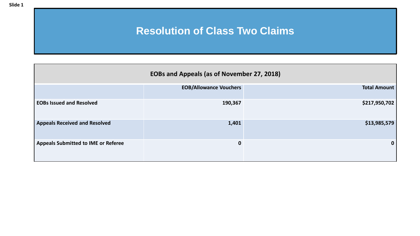# **Resolution of Class Two Claims**

| <b>EOBs and Appeals (as of November 27, 2018)</b> |                               |                     |  |  |  |  |  |  |  |
|---------------------------------------------------|-------------------------------|---------------------|--|--|--|--|--|--|--|
|                                                   | <b>EOB/Allowance Vouchers</b> | <b>Total Amount</b> |  |  |  |  |  |  |  |
| <b>EOBs Issued and Resolved</b>                   | 190,367                       | \$217,950,702       |  |  |  |  |  |  |  |
| <b>Appeals Received and Resolved</b>              | 1,401                         | \$13,985,579        |  |  |  |  |  |  |  |
| <b>Appeals Submitted to IME or Referee</b>        | $\mathbf 0$                   | 0                   |  |  |  |  |  |  |  |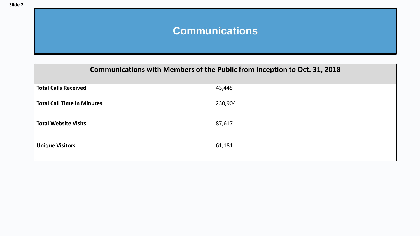# **Communications**

| Communications with Members of the Public from Inception to Oct. 31, 2018 |         |  |  |  |  |  |
|---------------------------------------------------------------------------|---------|--|--|--|--|--|
| <b>Total Calls Received</b>                                               | 43,445  |  |  |  |  |  |
| <b>Total Call Time in Minutes</b>                                         | 230,904 |  |  |  |  |  |
| <b>Total Website Visits</b>                                               | 87,617  |  |  |  |  |  |
| <b>Unique Visitors</b>                                                    | 61,181  |  |  |  |  |  |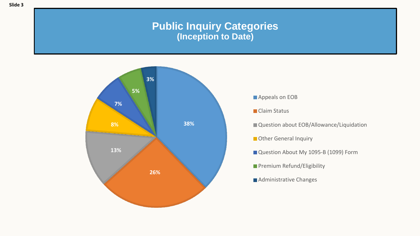### **Public Inquiry Categories (Inception to Date)**



- **Appeals on EOB**
- **Claim Status**
- Question about EOB/Allowance/Liquidation
- **Deta** Other General Inquiry
- Question About My 1095-B (1099) Form
- **Premium Refund/Eligibility**
- **Administrative Changes**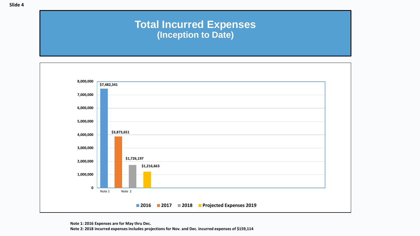# **Total Incurred Expenses (Inception to Date)**

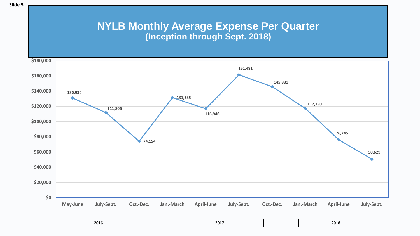#### **NYLB Monthly Average Expense Per Quarter (Inception through Sept. 2018)**

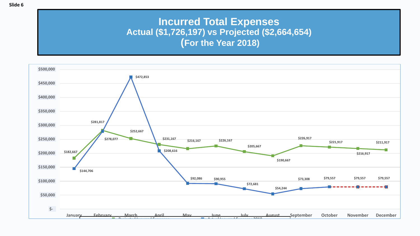## **Incurred Total Expenses Actual (\$1,726,197) vs Projected (\$2,664,654) (For the Year 2018)**

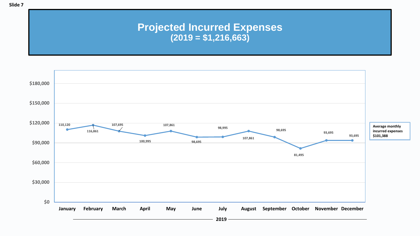## **Projected Incurred Expenses (2019 = \$1,216,663)**

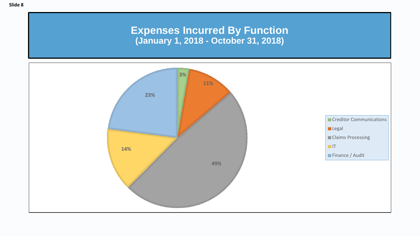#### **Expenses Incurred By Function (January 1, 2018 - October 31, 2018)**